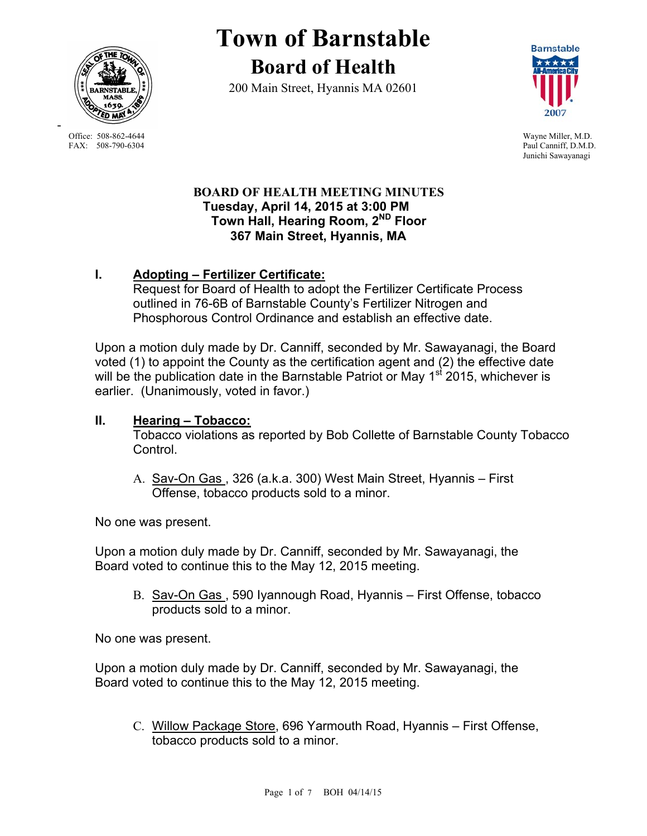

Office: 508-862-4644 Wayne Miller, M.D.<br>
FAX: 508-790-6304 Paul Canniff. D.M.D

-

# **Town of Barnstable Board of Health**

200 Main Street, Hyannis MA 02601



Paul Canniff, D.M.D. Junichi Sawayanagi

#### **BOARD OF HEALTH MEETING MINUTES Tuesday, April 14, 2015 at 3:00 PM Town Hall, Hearing Room, 2ND Floor 367 Main Street, Hyannis, MA**

## **I. Adopting – Fertilizer Certificate:**

Request for Board of Health to adopt the Fertilizer Certificate Process outlined in 76-6B of Barnstable County's Fertilizer Nitrogen and Phosphorous Control Ordinance and establish an effective date.

Upon a motion duly made by Dr. Canniff, seconded by Mr. Sawayanagi, the Board voted (1) to appoint the County as the certification agent and (2) the effective date will be the publication date in the Barnstable Patriot or May 1<sup>st</sup> 2015, whichever is earlier. (Unanimously, voted in favor.)

## **II. Hearing – Tobacco:**

Tobacco violations as reported by Bob Collette of Barnstable County Tobacco Control.

A. Sav-On Gas , 326 (a.k.a. 300) West Main Street, Hyannis – First Offense, tobacco products sold to a minor.

No one was present.

Upon a motion duly made by Dr. Canniff, seconded by Mr. Sawayanagi, the Board voted to continue this to the May 12, 2015 meeting.

B. Sav-On Gas , 590 Iyannough Road, Hyannis – First Offense, tobacco products sold to a minor.

No one was present.

Upon a motion duly made by Dr. Canniff, seconded by Mr. Sawayanagi, the Board voted to continue this to the May 12, 2015 meeting.

C. Willow Package Store, 696 Yarmouth Road, Hyannis – First Offense, tobacco products sold to a minor.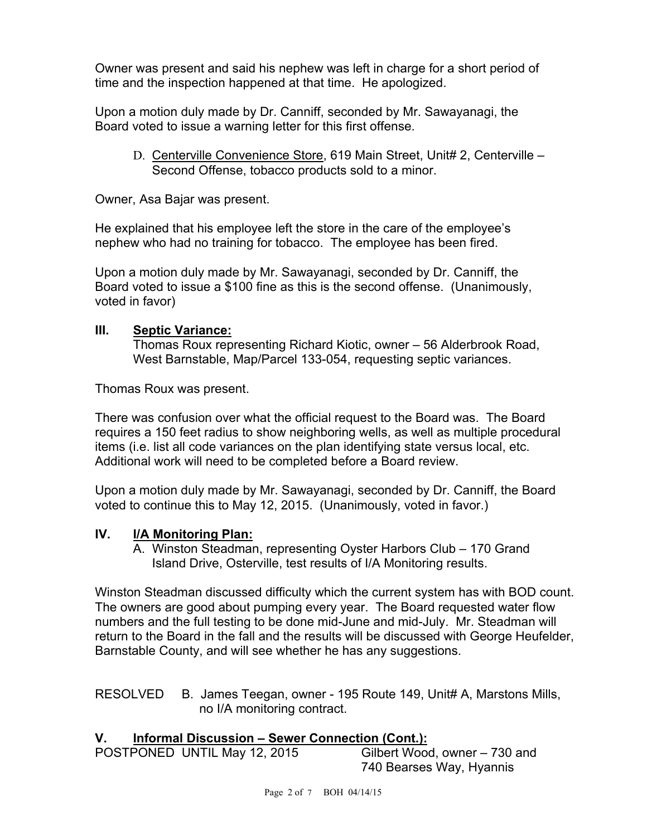Owner was present and said his nephew was left in charge for a short period of time and the inspection happened at that time. He apologized.

Upon a motion duly made by Dr. Canniff, seconded by Mr. Sawayanagi, the Board voted to issue a warning letter for this first offense.

D. Centerville Convenience Store, 619 Main Street, Unit# 2, Centerville – Second Offense, tobacco products sold to a minor.

Owner, Asa Bajar was present.

He explained that his employee left the store in the care of the employee's nephew who had no training for tobacco. The employee has been fired.

Upon a motion duly made by Mr. Sawayanagi, seconded by Dr. Canniff, the Board voted to issue a \$100 fine as this is the second offense. (Unanimously, voted in favor)

#### **III. Septic Variance:**

Thomas Roux representing Richard Kiotic, owner – 56 Alderbrook Road, West Barnstable, Map/Parcel 133-054, requesting septic variances.

Thomas Roux was present.

There was confusion over what the official request to the Board was. The Board requires a 150 feet radius to show neighboring wells, as well as multiple procedural items (i.e. list all code variances on the plan identifying state versus local, etc. Additional work will need to be completed before a Board review.

Upon a motion duly made by Mr. Sawayanagi, seconded by Dr. Canniff, the Board voted to continue this to May 12, 2015. (Unanimously, voted in favor.)

#### **IV. I/A Monitoring Plan:**

A. Winston Steadman, representing Oyster Harbors Club – 170 Grand Island Drive, Osterville, test results of I/A Monitoring results.

Winston Steadman discussed difficulty which the current system has with BOD count. The owners are good about pumping every year. The Board requested water flow numbers and the full testing to be done mid-June and mid-July. Mr. Steadman will return to the Board in the fall and the results will be discussed with George Heufelder, Barnstable County, and will see whether he has any suggestions.

RESOLVED B. James Teegan, owner - 195 Route 149, Unit# A, Marstons Mills, no I/A monitoring contract.

#### **V. Informal Discussion – Sewer Connection (Cont.):**

POSTPONED UNTIL May 12, 2015 Gilbert Wood, owner – 730 and

740 Bearses Way, Hyannis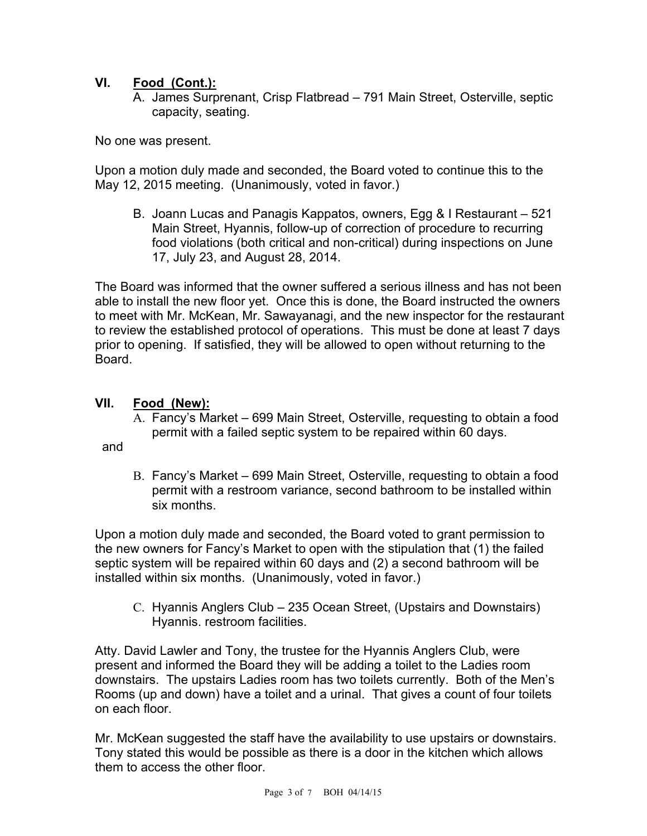## **VI. Food (Cont.):**

A. James Surprenant, Crisp Flatbread – 791 Main Street, Osterville, septic capacity, seating.

No one was present.

Upon a motion duly made and seconded, the Board voted to continue this to the May 12, 2015 meeting. (Unanimously, voted in favor.)

B. Joann Lucas and Panagis Kappatos, owners, Egg & I Restaurant – 521 Main Street, Hyannis, follow-up of correction of procedure to recurring food violations (both critical and non-critical) during inspections on June 17, July 23, and August 28, 2014.

The Board was informed that the owner suffered a serious illness and has not been able to install the new floor yet. Once this is done, the Board instructed the owners to meet with Mr. McKean, Mr. Sawayanagi, and the new inspector for the restaurant to review the established protocol of operations. This must be done at least 7 days prior to opening. If satisfied, they will be allowed to open without returning to the Board.

## **VII. Food (New):**

A. Fancy's Market – 699 Main Street, Osterville, requesting to obtain a food permit with a failed septic system to be repaired within 60 days.

and

B. Fancy's Market – 699 Main Street, Osterville, requesting to obtain a food permit with a restroom variance, second bathroom to be installed within six months.

Upon a motion duly made and seconded, the Board voted to grant permission to the new owners for Fancy's Market to open with the stipulation that (1) the failed septic system will be repaired within 60 days and (2) a second bathroom will be installed within six months. (Unanimously, voted in favor.)

C. Hyannis Anglers Club – 235 Ocean Street, (Upstairs and Downstairs) Hyannis. restroom facilities.

Atty. David Lawler and Tony, the trustee for the Hyannis Anglers Club, were present and informed the Board they will be adding a toilet to the Ladies room downstairs. The upstairs Ladies room has two toilets currently. Both of the Men's Rooms (up and down) have a toilet and a urinal. That gives a count of four toilets on each floor.

Mr. McKean suggested the staff have the availability to use upstairs or downstairs. Tony stated this would be possible as there is a door in the kitchen which allows them to access the other floor.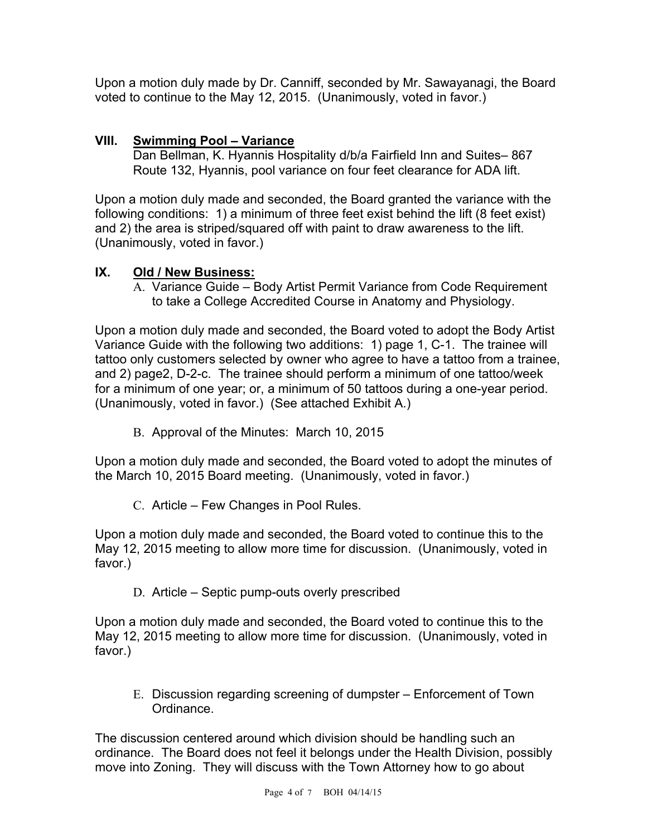Upon a motion duly made by Dr. Canniff, seconded by Mr. Sawayanagi, the Board voted to continue to the May 12, 2015. (Unanimously, voted in favor.)

## **VIII. Swimming Pool – Variance**

Dan Bellman, K. Hyannis Hospitality d/b/a Fairfield Inn and Suites– 867 Route 132, Hyannis, pool variance on four feet clearance for ADA lift.

Upon a motion duly made and seconded, the Board granted the variance with the following conditions: 1) a minimum of three feet exist behind the lift (8 feet exist) and 2) the area is striped/squared off with paint to draw awareness to the lift. (Unanimously, voted in favor.)

## **IX. Old / New Business:**

A. Variance Guide – Body Artist Permit Variance from Code Requirement to take a College Accredited Course in Anatomy and Physiology.

Upon a motion duly made and seconded, the Board voted to adopt the Body Artist Variance Guide with the following two additions: 1) page 1, C-1. The trainee will tattoo only customers selected by owner who agree to have a tattoo from a trainee, and 2) page2, D-2-c. The trainee should perform a minimum of one tattoo/week for a minimum of one year; or, a minimum of 50 tattoos during a one-year period. (Unanimously, voted in favor.) (See attached Exhibit A.)

B. Approval of the Minutes: March 10, 2015

Upon a motion duly made and seconded, the Board voted to adopt the minutes of the March 10, 2015 Board meeting. (Unanimously, voted in favor.)

C. Article – Few Changes in Pool Rules.

Upon a motion duly made and seconded, the Board voted to continue this to the May 12, 2015 meeting to allow more time for discussion. (Unanimously, voted in favor.)

D. Article – Septic pump-outs overly prescribed

Upon a motion duly made and seconded, the Board voted to continue this to the May 12, 2015 meeting to allow more time for discussion. (Unanimously, voted in favor.)

E. Discussion regarding screening of dumpster – Enforcement of Town Ordinance.

The discussion centered around which division should be handling such an ordinance. The Board does not feel it belongs under the Health Division, possibly move into Zoning. They will discuss with the Town Attorney how to go about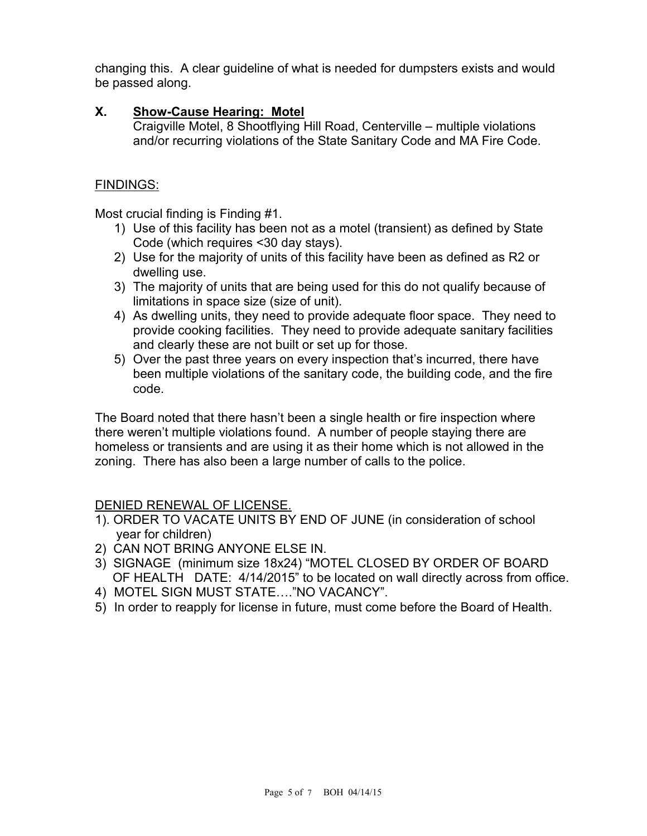changing this. A clear guideline of what is needed for dumpsters exists and would be passed along.

#### **X. Show-Cause Hearing: Motel**

Craigville Motel, 8 Shootflying Hill Road, Centerville – multiple violations and/or recurring violations of the State Sanitary Code and MA Fire Code.

### FINDINGS:

Most crucial finding is Finding #1.

- 1) Use of this facility has been not as a motel (transient) as defined by State Code (which requires <30 day stays).
- 2) Use for the majority of units of this facility have been as defined as R2 or dwelling use.
- 3) The majority of units that are being used for this do not qualify because of limitations in space size (size of unit).
- 4) As dwelling units, they need to provide adequate floor space. They need to provide cooking facilities. They need to provide adequate sanitary facilities and clearly these are not built or set up for those.
- 5) Over the past three years on every inspection that's incurred, there have been multiple violations of the sanitary code, the building code, and the fire code.

The Board noted that there hasn't been a single health or fire inspection where there weren't multiple violations found. A number of people staying there are homeless or transients and are using it as their home which is not allowed in the zoning. There has also been a large number of calls to the police.

## DENIED RENEWAL OF LICENSE.

- 1). ORDER TO VACATE UNITS BY END OF JUNE (in consideration of school year for children)
- 2) CAN NOT BRING ANYONE ELSE IN.
- 3) SIGNAGE (minimum size 18x24) "MOTEL CLOSED BY ORDER OF BOARD OF HEALTH DATE: 4/14/2015" to be located on wall directly across from office.
- 4) MOTEL SIGN MUST STATE…."NO VACANCY".
- 5) In order to reapply for license in future, must come before the Board of Health.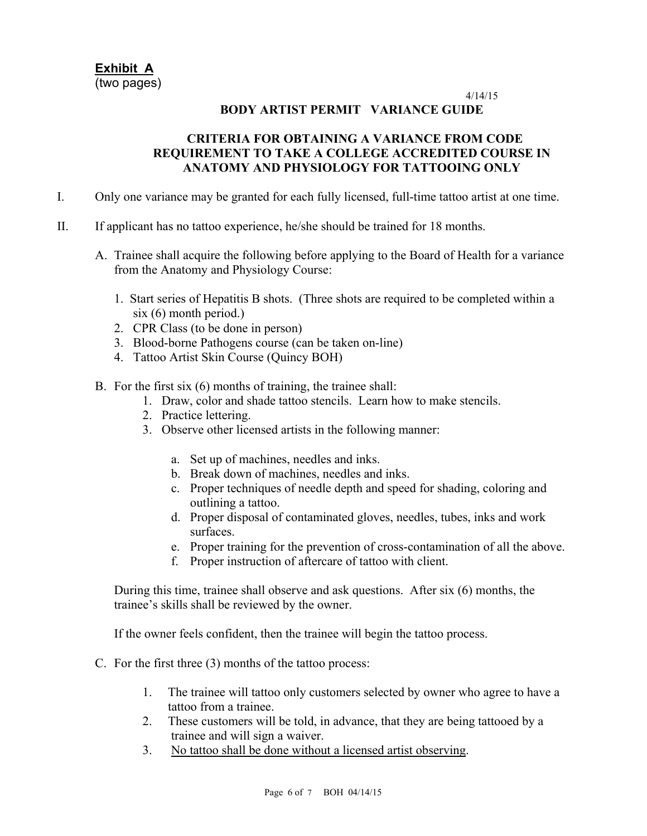**Exhibit A**  (two pages)

4/14/15

#### **BODY ARTIST PERMIT VARIANCE GUIDE**

#### **CRITERIA FOR OBTAINING A VARIANCE FROM CODE REQUIREMENT TO TAKE A COLLEGE ACCREDITED COURSE IN ANATOMY AND PHYSIOLOGY FOR TATTOOING ONLY**

- I. Only one variance may be granted for each fully licensed, full-time tattoo artist at one time.
- II. If applicant has no tattoo experience, he/she should be trained for 18 months.
	- A. Trainee shall acquire the following before applying to the Board of Health for a variance from the Anatomy and Physiology Course:
		- 1. Start series of Hepatitis B shots. (Three shots are required to be completed within a six (6) month period.)
		- 2. CPR Class (to be done in person)
		- 3. Blood-borne Pathogens course (can be taken on-line)
		- 4. Tattoo Artist Skin Course (Quincy BOH)
	- B. For the first six (6) months of training, the trainee shall:
		- 1. Draw, color and shade tattoo stencils. Learn how to make stencils.
		- 2. Practice lettering.
		- 3. Observe other licensed artists in the following manner:
			- a. Set up of machines, needles and inks.
			- b. Break down of machines, needles and inks.
			- c. Proper techniques of needle depth and speed for shading, coloring and outlining a tattoo.
			- d. Proper disposal of contaminated gloves, needles, tubes, inks and work surfaces.
			- e. Proper training for the prevention of cross-contamination of all the above.
			- f. Proper instruction of aftercare of tattoo with client.

During this time, trainee shall observe and ask questions. After six (6) months, the trainee's skills shall be reviewed by the owner.

If the owner feels confident, then the trainee will begin the tattoo process.

- C. For the first three (3) months of the tattoo process:
	- 1. The trainee will tattoo only customers selected by owner who agree to have a tattoo from a trainee.
	- 2. These customers will be told, in advance, that they are being tattooed by a trainee and will sign a waiver.
	- 3. No tattoo shall be done without a licensed artist observing.